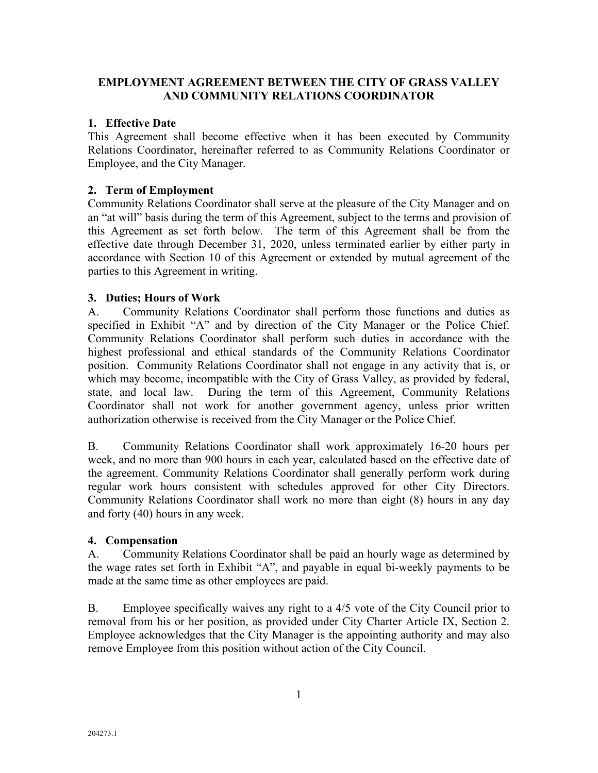# **EMPLOYMENT AGREEMENT BETWEEN THE CITY OF GRASS VALLEY AND COMMUNITY RELATIONS COORDINATOR**

# **1. Effective Date**

This Agreement shall become effective when it has been executed by Community Relations Coordinator, hereinafter referred to as Community Relations Coordinator or Employee, and the City Manager.

## **2. Term of Employment**

Community Relations Coordinator shall serve at the pleasure of the City Manager and on an "at will" basis during the term of this Agreement, subject to the terms and provision of this Agreement as set forth below. The term of this Agreement shall be from the effective date through December 31, 2020, unless terminated earlier by either party in accordance with Section 10 of this Agreement or extended by mutual agreement of the parties to this Agreement in writing.

# **3. Duties; Hours of Work**

A. Community Relations Coordinator shall perform those functions and duties as specified in Exhibit "A" and by direction of the City Manager or the Police Chief. Community Relations Coordinator shall perform such duties in accordance with the highest professional and ethical standards of the Community Relations Coordinator position. Community Relations Coordinator shall not engage in any activity that is, or which may become, incompatible with the City of Grass Valley, as provided by federal, state, and local law. During the term of this Agreement, Community Relations Coordinator shall not work for another government agency, unless prior written authorization otherwise is received from the City Manager or the Police Chief.

B. Community Relations Coordinator shall work approximately 16-20 hours per week, and no more than 900 hours in each year, calculated based on the effective date of the agreement. Community Relations Coordinator shall generally perform work during regular work hours consistent with schedules approved for other City Directors. Community Relations Coordinator shall work no more than eight (8) hours in any day and forty (40) hours in any week.

## **4. Compensation**

A. Community Relations Coordinator shall be paid an hourly wage as determined by the wage rates set forth in Exhibit "A", and payable in equal bi-weekly payments to be made at the same time as other employees are paid.

B. Employee specifically waives any right to a 4/5 vote of the City Council prior to removal from his or her position, as provided under City Charter Article IX, Section 2. Employee acknowledges that the City Manager is the appointing authority and may also remove Employee from this position without action of the City Council.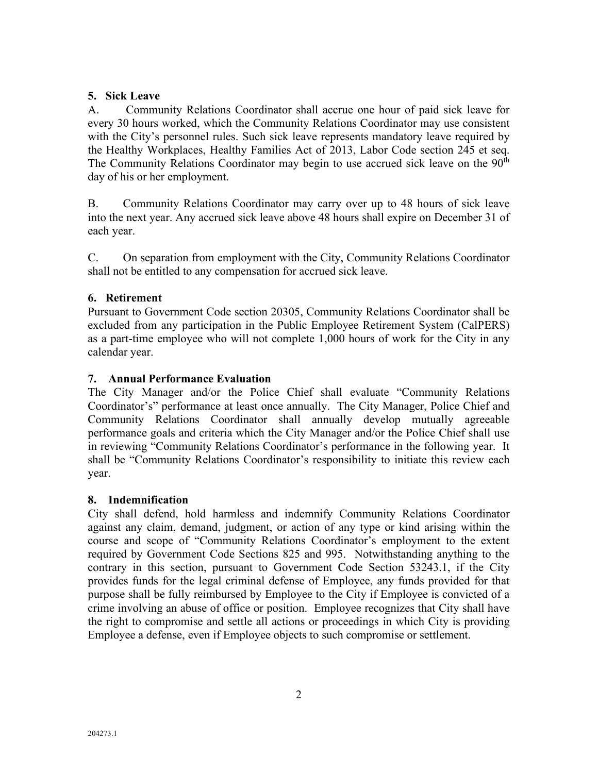# **5. Sick Leave**

A. Community Relations Coordinator shall accrue one hour of paid sick leave for every 30 hours worked, which the Community Relations Coordinator may use consistent with the City's personnel rules. Such sick leave represents mandatory leave required by the Healthy Workplaces, Healthy Families Act of 2013, Labor Code section 245 et seq. The Community Relations Coordinator may begin to use accrued sick leave on the  $90<sup>th</sup>$ day of his or her employment.

B. Community Relations Coordinator may carry over up to 48 hours of sick leave into the next year. Any accrued sick leave above 48 hours shall expire on December 31 of each year.

C. On separation from employment with the City, Community Relations Coordinator shall not be entitled to any compensation for accrued sick leave.

# **6. Retirement**

Pursuant to Government Code section 20305, Community Relations Coordinator shall be excluded from any participation in the Public Employee Retirement System (CalPERS) as a part-time employee who will not complete 1,000 hours of work for the City in any calendar year.

# **7. Annual Performance Evaluation**

The City Manager and/or the Police Chief shall evaluate "Community Relations Coordinator's" performance at least once annually. The City Manager, Police Chief and Community Relations Coordinator shall annually develop mutually agreeable performance goals and criteria which the City Manager and/or the Police Chief shall use in reviewing "Community Relations Coordinator's performance in the following year. It shall be "Community Relations Coordinator's responsibility to initiate this review each year.

## **8. Indemnification**

City shall defend, hold harmless and indemnify Community Relations Coordinator against any claim, demand, judgment, or action of any type or kind arising within the course and scope of "Community Relations Coordinator's employment to the extent required by Government Code Sections 825 and 995. Notwithstanding anything to the contrary in this section, pursuant to Government Code Section 53243.1, if the City provides funds for the legal criminal defense of Employee, any funds provided for that purpose shall be fully reimbursed by Employee to the City if Employee is convicted of a crime involving an abuse of office or position. Employee recognizes that City shall have the right to compromise and settle all actions or proceedings in which City is providing Employee a defense, even if Employee objects to such compromise or settlement.

2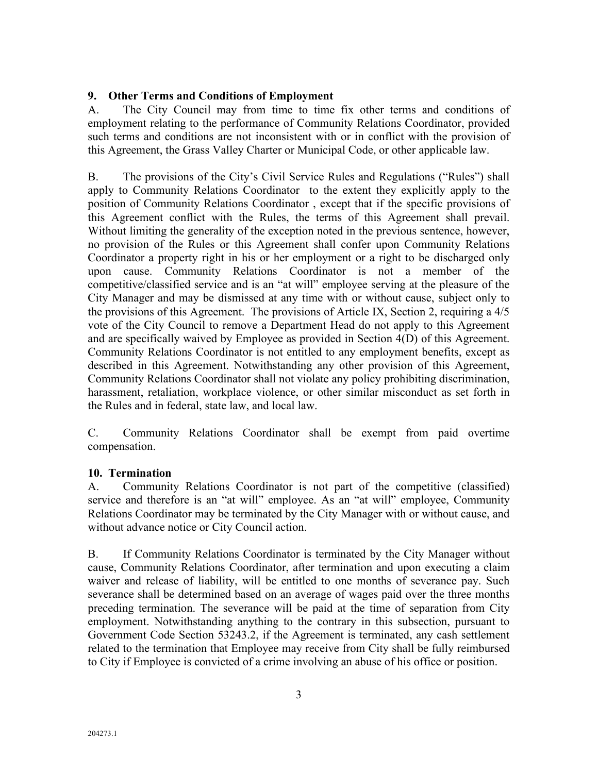# **9. Other Terms and Conditions of Employment**

A. The City Council may from time to time fix other terms and conditions of employment relating to the performance of Community Relations Coordinator, provided such terms and conditions are not inconsistent with or in conflict with the provision of this Agreement, the Grass Valley Charter or Municipal Code, or other applicable law.

B. The provisions of the City's Civil Service Rules and Regulations ("Rules") shall apply to Community Relations Coordinator to the extent they explicitly apply to the position of Community Relations Coordinator , except that if the specific provisions of this Agreement conflict with the Rules, the terms of this Agreement shall prevail. Without limiting the generality of the exception noted in the previous sentence, however, no provision of the Rules or this Agreement shall confer upon Community Relations Coordinator a property right in his or her employment or a right to be discharged only upon cause. Community Relations Coordinator is not a member of the competitive/classified service and is an "at will" employee serving at the pleasure of the City Manager and may be dismissed at any time with or without cause, subject only to the provisions of this Agreement. The provisions of Article IX, Section 2, requiring a 4/5 vote of the City Council to remove a Department Head do not apply to this Agreement and are specifically waived by Employee as provided in Section 4(D) of this Agreement. Community Relations Coordinator is not entitled to any employment benefits, except as described in this Agreement. Notwithstanding any other provision of this Agreement, Community Relations Coordinator shall not violate any policy prohibiting discrimination, harassment, retaliation, workplace violence, or other similar misconduct as set forth in the Rules and in federal, state law, and local law.

C. Community Relations Coordinator shall be exempt from paid overtime compensation.

## **10. Termination**

A. Community Relations Coordinator is not part of the competitive (classified) service and therefore is an "at will" employee. As an "at will" employee, Community Relations Coordinator may be terminated by the City Manager with or without cause, and without advance notice or City Council action.

B. If Community Relations Coordinator is terminated by the City Manager without cause, Community Relations Coordinator, after termination and upon executing a claim waiver and release of liability, will be entitled to one months of severance pay. Such severance shall be determined based on an average of wages paid over the three months preceding termination. The severance will be paid at the time of separation from City employment. Notwithstanding anything to the contrary in this subsection, pursuant to Government Code Section 53243.2, if the Agreement is terminated, any cash settlement related to the termination that Employee may receive from City shall be fully reimbursed to City if Employee is convicted of a crime involving an abuse of his office or position.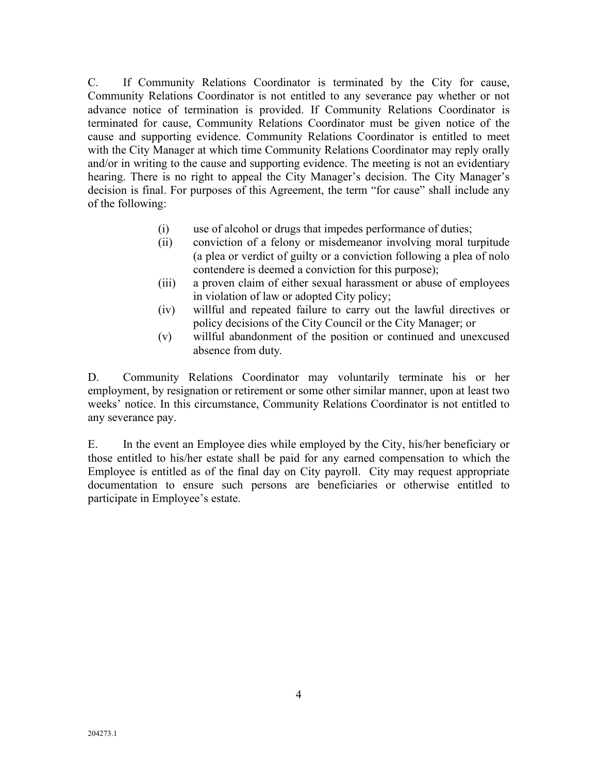C. If Community Relations Coordinator is terminated by the City for cause, Community Relations Coordinator is not entitled to any severance pay whether or not advance notice of termination is provided. If Community Relations Coordinator is terminated for cause, Community Relations Coordinator must be given notice of the cause and supporting evidence. Community Relations Coordinator is entitled to meet with the City Manager at which time Community Relations Coordinator may reply orally and/or in writing to the cause and supporting evidence. The meeting is not an evidentiary hearing. There is no right to appeal the City Manager's decision. The City Manager's decision is final. For purposes of this Agreement, the term "for cause" shall include any of the following:

- (i) use of alcohol or drugs that impedes performance of duties;
- (ii) conviction of a felony or misdemeanor involving moral turpitude (a plea or verdict of guilty or a conviction following a plea of nolo contendere is deemed a conviction for this purpose);
- (iii) a proven claim of either sexual harassment or abuse of employees in violation of law or adopted City policy;
- (iv) willful and repeated failure to carry out the lawful directives or policy decisions of the City Council or the City Manager; or
- (v) willful abandonment of the position or continued and unexcused absence from duty.

D. Community Relations Coordinator may voluntarily terminate his or her employment, by resignation or retirement or some other similar manner, upon at least two weeks' notice. In this circumstance, Community Relations Coordinator is not entitled to any severance pay.

E. In the event an Employee dies while employed by the City, his/her beneficiary or those entitled to his/her estate shall be paid for any earned compensation to which the Employee is entitled as of the final day on City payroll. City may request appropriate documentation to ensure such persons are beneficiaries or otherwise entitled to participate in Employee's estate.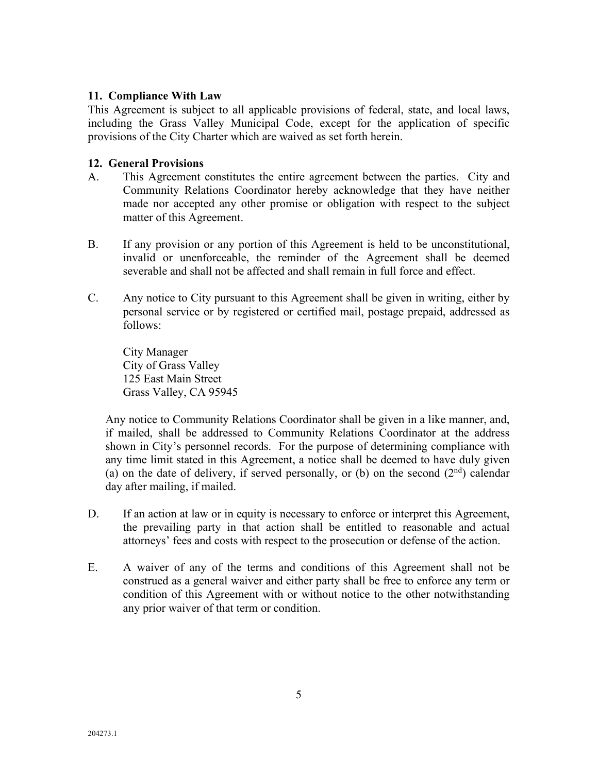## **11. Compliance With Law**

This Agreement is subject to all applicable provisions of federal, state, and local laws, including the Grass Valley Municipal Code, except for the application of specific provisions of the City Charter which are waived as set forth herein.

#### **12. General Provisions**

- A. This Agreement constitutes the entire agreement between the parties. City and Community Relations Coordinator hereby acknowledge that they have neither made nor accepted any other promise or obligation with respect to the subject matter of this Agreement.
- B. If any provision or any portion of this Agreement is held to be unconstitutional, invalid or unenforceable, the reminder of the Agreement shall be deemed severable and shall not be affected and shall remain in full force and effect.
- C. Any notice to City pursuant to this Agreement shall be given in writing, either by personal service or by registered or certified mail, postage prepaid, addressed as follows:

City Manager City of Grass Valley 125 East Main Street Grass Valley, CA 95945

Any notice to Community Relations Coordinator shall be given in a like manner, and, if mailed, shall be addressed to Community Relations Coordinator at the address shown in City's personnel records. For the purpose of determining compliance with any time limit stated in this Agreement, a notice shall be deemed to have duly given (a) on the date of delivery, if served personally, or (b) on the second  $(2<sup>nd</sup>)$  calendar day after mailing, if mailed.

- D. If an action at law or in equity is necessary to enforce or interpret this Agreement, the prevailing party in that action shall be entitled to reasonable and actual attorneys' fees and costs with respect to the prosecution or defense of the action.
- E. A waiver of any of the terms and conditions of this Agreement shall not be construed as a general waiver and either party shall be free to enforce any term or condition of this Agreement with or without notice to the other notwithstanding any prior waiver of that term or condition.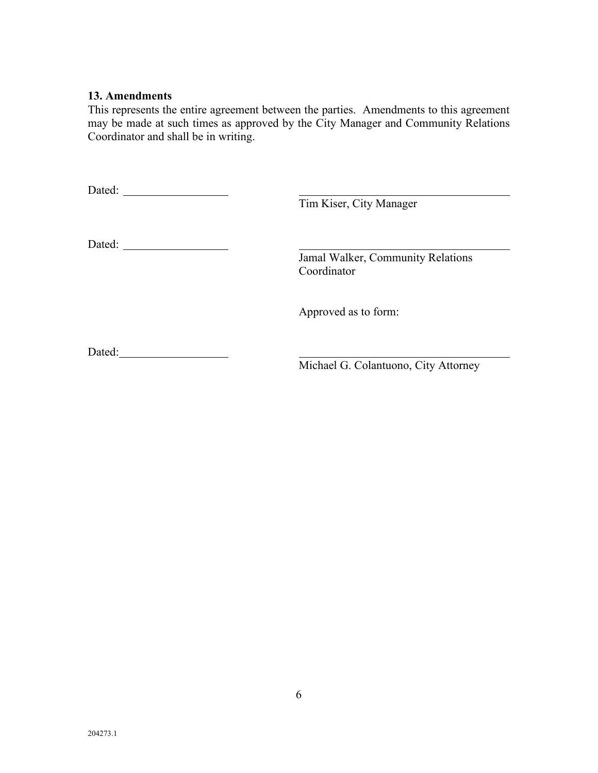### **13. Amendments**

This represents the entire agreement between the parties. Amendments to this agreement may be made at such times as approved by the City Manager and Community Relations Coordinator and shall be in writing.

| Dated: |                                                  |
|--------|--------------------------------------------------|
|        | Tim Kiser, City Manager                          |
| Dated: |                                                  |
|        | Jamal Walker, Community Relations<br>Coordinator |
|        | Approved as to form:                             |
| Dated: |                                                  |
|        | Michael G. Colantuono, City Attorney             |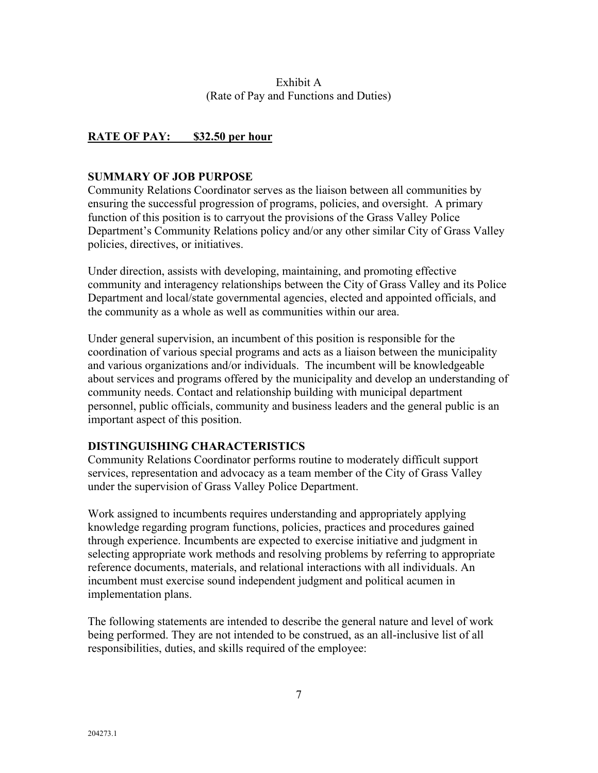## Exhibit A (Rate of Pay and Functions and Duties)

# **RATE OF PAY: \$32.50 per hour**

#### **SUMMARY OF JOB PURPOSE**

Community Relations Coordinator serves as the liaison between all communities by ensuring the successful progression of programs, policies, and oversight. A primary function of this position is to carryout the provisions of the Grass Valley Police Department's Community Relations policy and/or any other similar City of Grass Valley policies, directives, or initiatives.

Under direction, assists with developing, maintaining, and promoting effective community and interagency relationships between the City of Grass Valley and its Police Department and local/state governmental agencies, elected and appointed officials, and the community as a whole as well as communities within our area.

Under general supervision, an incumbent of this position is responsible for the coordination of various special programs and acts as a liaison between the municipality and various organizations and/or individuals. The incumbent will be knowledgeable about services and programs offered by the municipality and develop an understanding of community needs. Contact and relationship building with municipal department personnel, public officials, community and business leaders and the general public is an important aspect of this position.

## **DISTINGUISHING CHARACTERISTICS**

Community Relations Coordinator performs routine to moderately difficult support services, representation and advocacy as a team member of the City of Grass Valley under the supervision of Grass Valley Police Department.

Work assigned to incumbents requires understanding and appropriately applying knowledge regarding program functions, policies, practices and procedures gained through experience. Incumbents are expected to exercise initiative and judgment in selecting appropriate work methods and resolving problems by referring to appropriate reference documents, materials, and relational interactions with all individuals. An incumbent must exercise sound independent judgment and political acumen in implementation plans.

The following statements are intended to describe the general nature and level of work being performed. They are not intended to be construed, as an all-inclusive list of all responsibilities, duties, and skills required of the employee: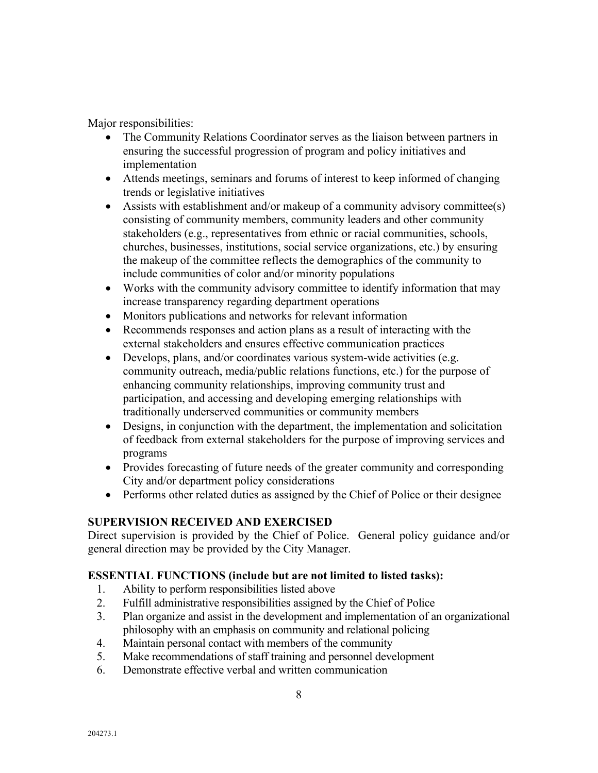Major responsibilities:

- The Community Relations Coordinator serves as the liaison between partners in ensuring the successful progression of program and policy initiatives and implementation
- Attends meetings, seminars and forums of interest to keep informed of changing trends or legislative initiatives
- Assists with establishment and/or makeup of a community advisory committee(s) consisting of community members, community leaders and other community stakeholders (e.g., representatives from ethnic or racial communities, schools, churches, businesses, institutions, social service organizations, etc.) by ensuring the makeup of the committee reflects the demographics of the community to include communities of color and/or minority populations
- Works with the community advisory committee to identify information that may increase transparency regarding department operations
- Monitors publications and networks for relevant information
- Recommends responses and action plans as a result of interacting with the external stakeholders and ensures effective communication practices
- Develops, plans, and/or coordinates various system-wide activities (e.g. community outreach, media/public relations functions, etc.) for the purpose of enhancing community relationships, improving community trust and participation, and accessing and developing emerging relationships with traditionally underserved communities or community members
- Designs, in conjunction with the department, the implementation and solicitation of feedback from external stakeholders for the purpose of improving services and programs
- Provides forecasting of future needs of the greater community and corresponding City and/or department policy considerations
- Performs other related duties as assigned by the Chief of Police or their designee

## **SUPERVISION RECEIVED AND EXERCISED**

Direct supervision is provided by the Chief of Police. General policy guidance and/or general direction may be provided by the City Manager.

## **ESSENTIAL FUNCTIONS (include but are not limited to listed tasks):**

- 1. Ability to perform responsibilities listed above
- 2. Fulfill administrative responsibilities assigned by the Chief of Police
- 3. Plan organize and assist in the development and implementation of an organizational philosophy with an emphasis on community and relational policing
- 4. Maintain personal contact with members of the community
- 5. Make recommendations of staff training and personnel development
- 6. Demonstrate effective verbal and written communication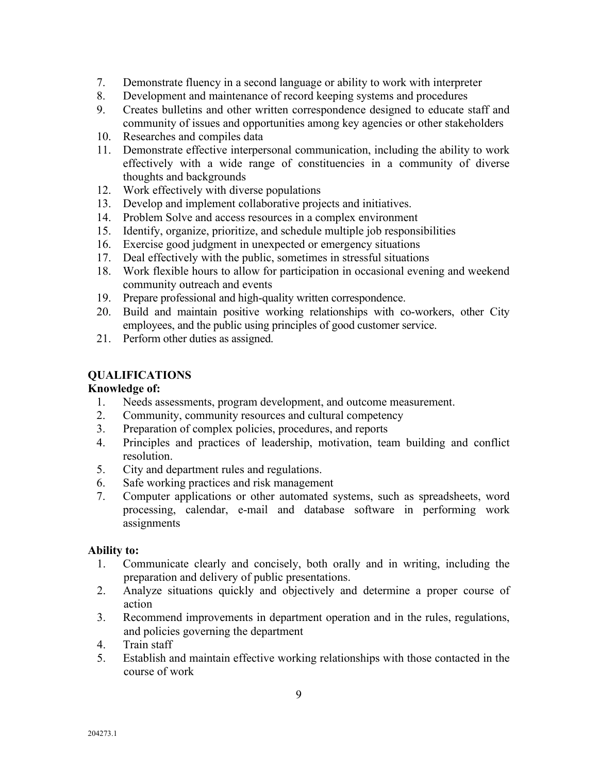- 7. Demonstrate fluency in a second language or ability to work with interpreter
- 8. Development and maintenance of record keeping systems and procedures
- 9. Creates bulletins and other written correspondence designed to educate staff and community of issues and opportunities among key agencies or other stakeholders
- 10. Researches and compiles data
- 11. Demonstrate effective interpersonal communication, including the ability to work effectively with a wide range of constituencies in a community of diverse thoughts and backgrounds
- 12. Work effectively with diverse populations
- 13. Develop and implement collaborative projects and initiatives.
- 14. Problem Solve and access resources in a complex environment
- 15. Identify, organize, prioritize, and schedule multiple job responsibilities
- 16. Exercise good judgment in unexpected or emergency situations
- 17. Deal effectively with the public, sometimes in stressful situations
- 18. Work flexible hours to allow for participation in occasional evening and weekend community outreach and events
- 19. Prepare professional and high-quality written correspondence.
- 20. Build and maintain positive working relationships with co-workers, other City employees, and the public using principles of good customer service.
- 21. Perform other duties as assigned.

# **QUALIFICATIONS**

## **Knowledge of:**

- 1. Needs assessments, program development, and outcome measurement.
- 2. Community, community resources and cultural competency
- 3. Preparation of complex policies, procedures, and reports
- 4. Principles and practices of leadership, motivation, team building and conflict resolution.
- 5. City and department rules and regulations.
- 6. Safe working practices and risk management
- 7. Computer applications or other automated systems, such as spreadsheets, word processing, calendar, e-mail and database software in performing work assignments

## **Ability to:**

- 1. Communicate clearly and concisely, both orally and in writing, including the preparation and delivery of public presentations.
- 2. Analyze situations quickly and objectively and determine a proper course of action
- 3. Recommend improvements in department operation and in the rules, regulations, and policies governing the department
- 4. Train staff
- 5. Establish and maintain effective working relationships with those contacted in the course of work